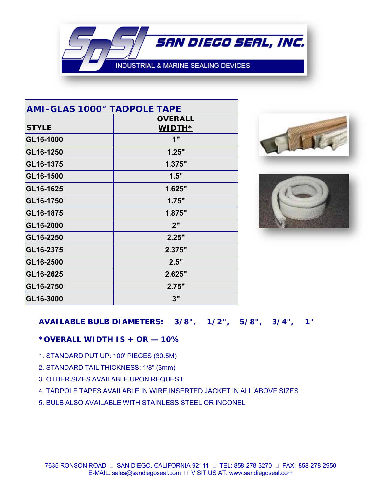**INDUSTRIAL & MARINE SEALING DEVICES** 

SAN DIEGO SEAL, INC.

| <b>AMI-GLAS 1000° TADPOLE TAPE</b> |                |
|------------------------------------|----------------|
|                                    | <b>OVERALL</b> |
| <b>STYLE</b>                       | <b>WIDTH*</b>  |
| GL16-1000                          | 1"             |
| GL16-1250                          | 1.25"          |
| GL16-1375                          | 1.375"         |
| GL16-1500                          | 1.5"           |
| GL16-1625                          | 1.625"         |
| GL16-1750                          | 1.75"          |
| GL16-1875                          | 1.875"         |
| GL16-2000                          | 2"             |
| GL16-2250                          | 2.25"          |
| GL16-2375                          | 2.375"         |
| GL16-2500                          | 2.5"           |
| GL16-2625                          | 2.625"         |
| GL16-2750                          | 2.75"          |
| GL16-3000                          | 3"             |





## *AVAILABLE BULB DIAMETERS: 3/8", 1/2", 5/8", 3/4", 1"*

#### *\*OVERALL WIDTH IS + OR — 10%*

- 1. STANDARD PUT UP: 100' PIECES (30.5M)
- 2. STANDARD TAIL THICKNESS: 1/8" (3mm)
- 3. OTHER SIZES AVAILABLE UPON REQUEST
- 4. TADPOLE TAPES AVAILABLE IN WIRE INSERTED JACKET IN ALL ABOVE SIZES
- 5. BULB ALSO AVAILABLE WITH STAINLESS STEEL OR INCONEL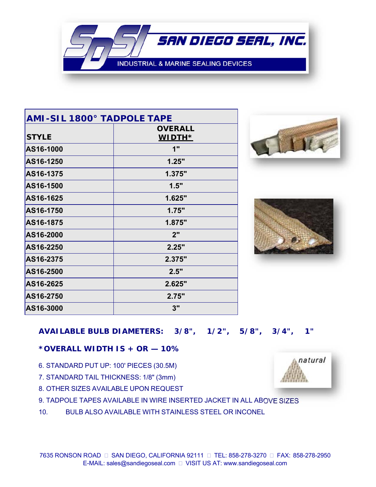**INDUSTRIAL & MARINE SEALING DEVICES** 

SAN DIEGO SEAL, INC.

| <b>AMI-SIL 1800° TADPOLE TAPE</b> |                |
|-----------------------------------|----------------|
|                                   | <b>OVERALL</b> |
| <b>STYLE</b>                      | <b>WIDTH*</b>  |
| AS16-1000                         | 1"             |
| AS16-1250                         | 1.25"          |
| AS16-1375                         | 1.375"         |
| AS16-1500                         | 1.5"           |
| AS16-1625                         | 1.625"         |
| AS16-1750                         | 1.75"          |
| AS16-1875                         | 1.875"         |
| AS16-2000                         | 2"             |
| AS16-2250                         | 2.25"          |
| AS16-2375                         | 2.375"         |
| AS16-2500                         | 2.5"           |
| AS16-2625                         | 2.625"         |
| AS16-2750                         | 2.75"          |
| AS16-3000                         | 3"             |





## *AVAILABLE BULB DIAMETERS: 3/8", 1/2", 5/8", 3/4", 1"*

#### *\*OVERALL WIDTH IS + OR — 10%*

- 6. STANDARD PUT UP: 100' PIECES (30.5M)
- 7. STANDARD TAIL THICKNESS: 1/8" (3mm)
- 8. OTHER SIZES AVAILABLE UPON REQUEST
- 9. TADPOLE TAPES AVAILABLE IN WIRE INSERTED JACKET IN ALL ABOVE SIZES
- 10. BULB ALSO AVAILABLE WITH STAINLESS STEEL OR INCONEL